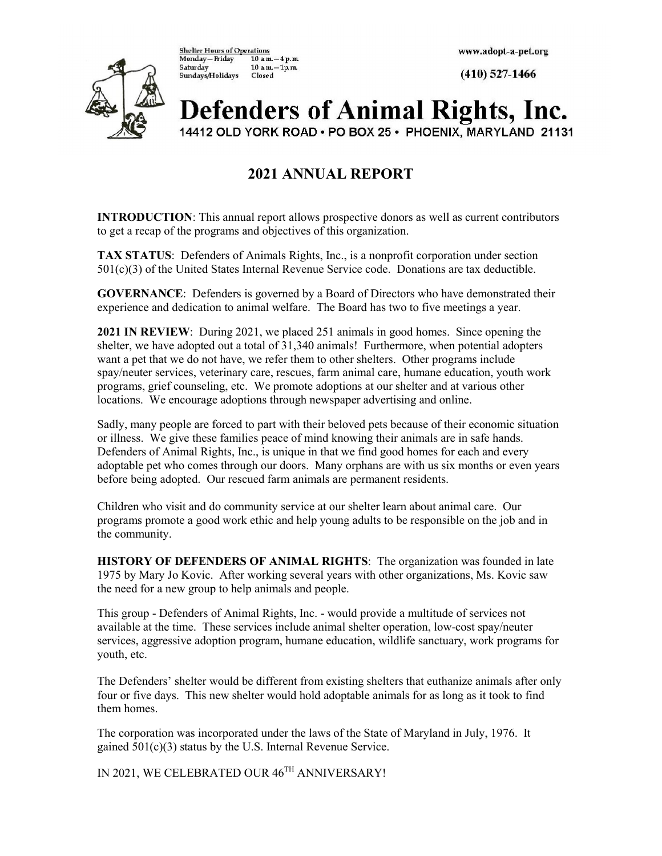ົ

**Shelter Hours of Operations** Monday-Friday  $10 a m - 4 p.m.$ Saturday  $10 a m - 1 p.m.$ Sundays/Holidays Closed

 $(410)$  527-1466

# **Defenders of Animal Rights, Inc.**

14412 OLD YORK ROAD . PO BOX 25 . PHOENIX, MARYLAND 21131

## 2021 ANNUAL REPORT

INTRODUCTION: This annual report allows prospective donors as well as current contributors to get a recap of the programs and objectives of this organization.

TAX STATUS: Defenders of Animals Rights, Inc., is a nonprofit corporation under section 501(c)(3) of the United States Internal Revenue Service code. Donations are tax deductible.

GOVERNANCE: Defenders is governed by a Board of Directors who have demonstrated their experience and dedication to animal welfare. The Board has two to five meetings a year.

2021 IN REVIEW: During 2021, we placed 251 animals in good homes. Since opening the shelter, we have adopted out a total of 31,340 animals! Furthermore, when potential adopters want a pet that we do not have, we refer them to other shelters. Other programs include spay/neuter services, veterinary care, rescues, farm animal care, humane education, youth work programs, grief counseling, etc. We promote adoptions at our shelter and at various other locations. We encourage adoptions through newspaper advertising and online.

Sadly, many people are forced to part with their beloved pets because of their economic situation or illness. We give these families peace of mind knowing their animals are in safe hands. Defenders of Animal Rights, Inc., is unique in that we find good homes for each and every adoptable pet who comes through our doors. Many orphans are with us six months or even years before being adopted. Our rescued farm animals are permanent residents.

Children who visit and do community service at our shelter learn about animal care. Our programs promote a good work ethic and help young adults to be responsible on the job and in the community.

HISTORY OF DEFENDERS OF ANIMAL RIGHTS: The organization was founded in late 1975 by Mary Jo Kovic. After working several years with other organizations, Ms. Kovic saw the need for a new group to help animals and people.

This group - Defenders of Animal Rights, Inc. - would provide a multitude of services not available at the time. These services include animal shelter operation, low-cost spay/neuter services, aggressive adoption program, humane education, wildlife sanctuary, work programs for youth, etc.

The Defenders' shelter would be different from existing shelters that euthanize animals after only four or five days. This new shelter would hold adoptable animals for as long as it took to find them homes.

The corporation was incorporated under the laws of the State of Maryland in July, 1976. It gained 501(c)(3) status by the U.S. Internal Revenue Service.

IN 2021, WE CELEBRATED OUR 46TH ANNIVERSARY!